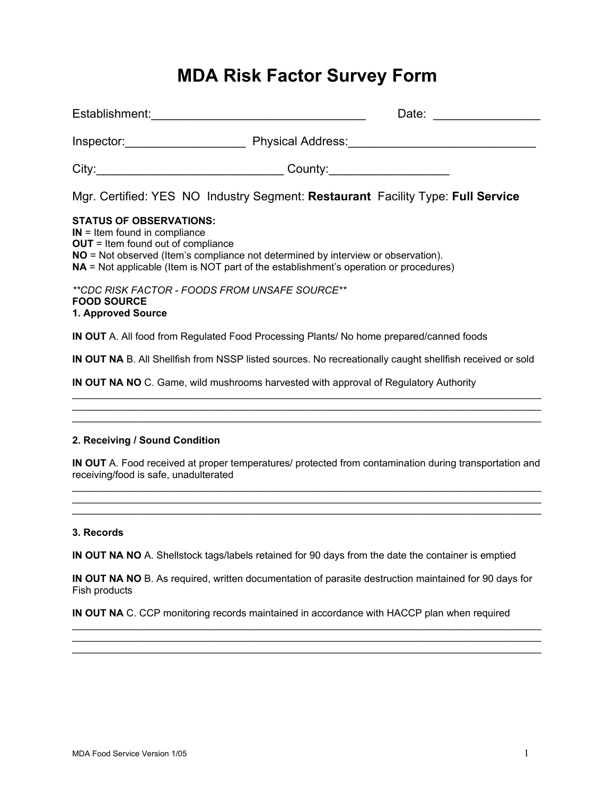# **MDA Risk Factor Survey Form**

| Establishment: ___________________                                                                                                                                                                                                                                                               |  | Date:                         |
|--------------------------------------------------------------------------------------------------------------------------------------------------------------------------------------------------------------------------------------------------------------------------------------------------|--|-------------------------------|
| Inspector: Physical Address: National Address: National Address: National Address: National Address:                                                                                                                                                                                             |  |                               |
|                                                                                                                                                                                                                                                                                                  |  | County:______________________ |
| Mgr. Certified: YES NO Industry Segment: Restaurant Facility Type: Full Service                                                                                                                                                                                                                  |  |                               |
| <b>STATUS OF OBSERVATIONS:</b><br>$IN =$ Item found in compliance<br>$OUT = Item found out of compliance$<br><b>NO</b> = Not observed (Item's compliance not determined by interview or observation).<br>$NA$ = Not applicable (Item is NOT part of the establishment's operation or procedures) |  |                               |
| **CDC RISK FACTOR - FOODS FROM UNSAFE SOURCE**<br><b>FOOD SOURCE</b><br>1. Approved Source                                                                                                                                                                                                       |  |                               |
| <b>IN OUT</b> A. All food from Regulated Food Processing Plants/ No home prepared/canned foods                                                                                                                                                                                                   |  |                               |
| <b>IN OUT NA</b> B. All Shellfish from NSSP listed sources. No recreationally caught shellfish received or sold                                                                                                                                                                                  |  |                               |
|                                                                                                                                                                                                                                                                                                  |  |                               |

**IN OUT NA NO** C. Game, wild mushrooms harvested with approval of Regulatory Authority  $\_$  , and the set of the set of the set of the set of the set of the set of the set of the set of the set of the set of the set of the set of the set of the set of the set of the set of the set of the set of the set of th

# **2. Receiving / Sound Condition**

**IN OUT** A. Food received at proper temperatures/ protected from contamination during transportation and receiving/food is safe, unadulterated  $\_$  , and the set of the set of the set of the set of the set of the set of the set of the set of the set of the set of the set of the set of the set of the set of the set of the set of the set of the set of the set of th

 $\_$  , and the set of the set of the set of the set of the set of the set of the set of the set of the set of the set of the set of the set of the set of the set of the set of the set of the set of the set of the set of th  $\mathcal{L}_\text{max}$  , and the contribution of the contribution of the contribution of the contribution of the contribution of the contribution of the contribution of the contribution of the contribution of the contribution of t

 $\_$  , and the set of the set of the set of the set of the set of the set of the set of the set of the set of the set of the set of the set of the set of the set of the set of the set of the set of the set of the set of th

# **3. Records**

**IN OUT NA NO** A. Shellstock tags/labels retained for 90 days from the date the container is emptied

**IN OUT NA NO** B. As required, written documentation of parasite destruction maintained for 90 days for Fish products

 $\_$  , and the set of the set of the set of the set of the set of the set of the set of the set of the set of the set of the set of the set of the set of the set of the set of the set of the set of the set of the set of th  $\_$  , and the set of the set of the set of the set of the set of the set of the set of the set of the set of the set of the set of the set of the set of the set of the set of the set of the set of the set of the set of th  $\mathcal{L}_\text{max}$  , and the contribution of the contribution of the contribution of the contribution of the contribution of the contribution of the contribution of the contribution of the contribution of the contribution of t

**IN OUT NA** C. CCP monitoring records maintained in accordance with HACCP plan when required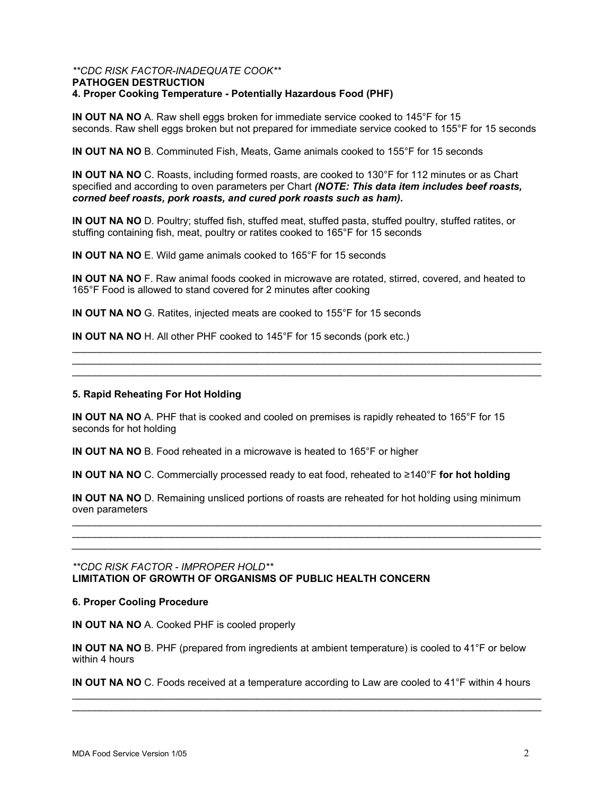#### *\*\*CDC RISK FACTOR-INADEQUATE COOK\*\**  **PATHOGEN DESTRUCTION 4. Proper Cooking Temperature - Potentially Hazardous Food (PHF)**

**IN OUT NA NO** A. Raw shell eggs broken for immediate service cooked to 145°F for 15 seconds. Raw shell eggs broken but not prepared for immediate service cooked to 155°F for 15 seconds

**IN OUT NA NO** B. Comminuted Fish, Meats, Game animals cooked to 155°F for 15 seconds

**IN OUT NA NO** C. Roasts, including formed roasts, are cooked to 130°F for 112 minutes or as Chart specified and according to oven parameters per Chart *(NOTE: This data item includes beef roasts, corned beef roasts, pork roasts, and cured pork roasts such as ham).* 

**IN OUT NA NO** D. Poultry; stuffed fish, stuffed meat, stuffed pasta, stuffed poultry, stuffed ratites, or stuffing containing fish, meat, poultry or ratites cooked to 165°F for 15 seconds

**IN OUT NA NO** E. Wild game animals cooked to 165°F for 15 seconds

**IN OUT NA NO** F. Raw animal foods cooked in microwave are rotated, stirred, covered, and heated to 165°F Food is allowed to stand covered for 2 minutes after cooking

 $\_$  , and the set of the set of the set of the set of the set of the set of the set of the set of the set of the set of the set of the set of the set of the set of the set of the set of the set of the set of the set of th  $\_$  , and the set of the set of the set of the set of the set of the set of the set of the set of the set of the set of the set of the set of the set of the set of the set of the set of the set of the set of the set of th  $\mathcal{L}_\text{max}$  , and the contribution of the contribution of the contribution of the contribution of the contribution of the contribution of the contribution of the contribution of the contribution of the contribution of t

**IN OUT NA NO** G. Ratites, injected meats are cooked to 155°F for 15 seconds

**IN OUT NA NO** H. All other PHF cooked to 145°F for 15 seconds (pork etc.)

#### **5. Rapid Reheating For Hot Holding**

**IN OUT NA NO** A. PHF that is cooked and cooled on premises is rapidly reheated to 165°F for 15 seconds for hot holding

**IN OUT NA NO** B. Food reheated in a microwave is heated to 165°F or higher

**IN OUT NA NO** C. Commercially processed ready to eat food, reheated to ≥140°F **for hot holding** 

**IN OUT NA NO** D. Remaining unsliced portions of roasts are reheated for hot holding using minimum oven parameters

 $\_$  , and the set of the set of the set of the set of the set of the set of the set of the set of the set of the set of the set of the set of the set of the set of the set of the set of the set of the set of the set of th \_\_\_\_\_\_\_*\_\_\_\_\_\_\_\_\_\_\_\_\_\_\_\_\_\_\_\_\_\_\_\_\_\_\_\_\_\_\_\_\_\_\_\_\_\_\_\_\_\_\_\_\_\_\_\_\_\_\_\_\_\_\_\_\_\_\_\_\_\_\_\_\_\_\_\_\_\_\_\_\_\_\_\_\_ \_\_\_\_\_\_\_\_\_\_\_\_\_\_\_\_\_\_\_\_\_\_\_\_\_\_\_\_\_\_\_\_\_\_\_\_\_\_\_\_\_\_\_\_\_\_\_\_\_\_\_\_\_\_\_\_\_\_\_\_\_\_\_\_\_\_\_\_\_\_\_\_\_\_\_\_\_\_\_\_\_\_\_\_* 

# *\*\*CDC RISK FACTOR - IMPROPER HOLD\*\**  **LIMITATION OF GROWTH OF ORGANISMS OF PUBLIC HEALTH CONCERN**

#### **6. Proper Cooling Procedure**

**IN OUT NA NO** A. Cooked PHF is cooled properly

**IN OUT NA NO** B. PHF (prepared from ingredients at ambient temperature) is cooled to 41°F or below within 4 hours

**IN OUT NA NO** C. Foods received at a temperature according to Law are cooled to 41°F within 4 hours  $\_$  , and the set of the set of the set of the set of the set of the set of the set of the set of the set of the set of the set of the set of the set of the set of the set of the set of the set of the set of the set of th

 $\_$  , and the set of the set of the set of the set of the set of the set of the set of the set of the set of the set of the set of the set of the set of the set of the set of the set of the set of the set of the set of th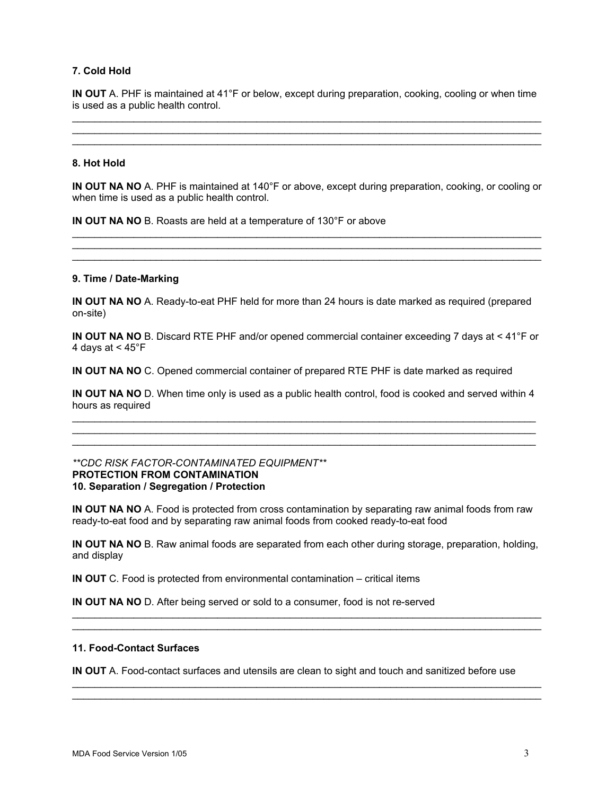# **7. Cold Hold**

**IN OUT** A. PHF is maintained at 41°F or below, except during preparation, cooking, cooling or when time is used as a public health control.  $\_$  , and the set of the set of the set of the set of the set of the set of the set of the set of the set of the set of the set of the set of the set of the set of the set of the set of the set of the set of the set of th

 $\mathcal{L}_\text{max}$  , and the contribution of the contribution of the contribution of the contribution of the contribution of the contribution of the contribution of the contribution of the contribution of the contribution of t  $\_$  , and the set of the set of the set of the set of the set of the set of the set of the set of the set of the set of the set of the set of the set of the set of the set of the set of the set of the set of the set of th

#### **8. Hot Hold**

**IN OUT NA NO** A. PHF is maintained at 140°F or above, except during preparation, cooking, or cooling or when time is used as a public health control.

 $\mathcal{L}_\text{max}$  , and the contribution of the contribution of the contribution of the contribution of the contribution of the contribution of the contribution of the contribution of the contribution of the contribution of t  $\_$  , and the set of the set of the set of the set of the set of the set of the set of the set of the set of the set of the set of the set of the set of the set of the set of the set of the set of the set of the set of th  $\_$  , and the set of the set of the set of the set of the set of the set of the set of the set of the set of the set of the set of the set of the set of the set of the set of the set of the set of the set of the set of th

**IN OUT NA NO** B. Roasts are held at a temperature of 130°F or above

#### **9. Time / Date-Marking**

**IN OUT NA NO** A. Ready-to-eat PHF held for more than 24 hours is date marked as required (prepared on-site)

**IN OUT NA NO** B. Discard RTE PHF and/or opened commercial container exceeding 7 days at < 41°F or 4 days at < 45°F

**IN OUT NA NO** C. Opened commercial container of prepared RTE PHF is date marked as required

**IN OUT NA NO** D. When time only is used as a public health control, food is cooked and served within 4 hours as required  $\mathcal{L}_\mathcal{L} = \{ \mathcal{L}_\mathcal{L} = \{ \mathcal{L}_\mathcal{L} = \{ \mathcal{L}_\mathcal{L} = \{ \mathcal{L}_\mathcal{L} = \{ \mathcal{L}_\mathcal{L} = \{ \mathcal{L}_\mathcal{L} = \{ \mathcal{L}_\mathcal{L} = \{ \mathcal{L}_\mathcal{L} = \{ \mathcal{L}_\mathcal{L} = \{ \mathcal{L}_\mathcal{L} = \{ \mathcal{L}_\mathcal{L} = \{ \mathcal{L}_\mathcal{L} = \{ \mathcal{L}_\mathcal{L} = \{ \mathcal{L}_\mathcal{$ 

 $\mathcal{L}_\mathcal{L} = \{ \mathcal{L}_\mathcal{L} = \{ \mathcal{L}_\mathcal{L} = \{ \mathcal{L}_\mathcal{L} = \{ \mathcal{L}_\mathcal{L} = \{ \mathcal{L}_\mathcal{L} = \{ \mathcal{L}_\mathcal{L} = \{ \mathcal{L}_\mathcal{L} = \{ \mathcal{L}_\mathcal{L} = \{ \mathcal{L}_\mathcal{L} = \{ \mathcal{L}_\mathcal{L} = \{ \mathcal{L}_\mathcal{L} = \{ \mathcal{L}_\mathcal{L} = \{ \mathcal{L}_\mathcal{L} = \{ \mathcal{L}_\mathcal{$  $\mathcal{L}_\text{max}$  , and the set of the set of the set of the set of the set of the set of the set of the set of the set of the set of the set of the set of the set of the set of the set of the set of the set of the set of the

#### *\*\*CDC RISK FACTOR-CONTAMINATED EQUIPMENT\*\**  **PROTECTION FROM CONTAMINATION 10. Separation / Segregation / Protection**

**IN OUT NA NO** A. Food is protected from cross contamination by separating raw animal foods from raw ready-to-eat food and by separating raw animal foods from cooked ready-to-eat food

**IN OUT NA NO** B. Raw animal foods are separated from each other during storage, preparation, holding, and display

 $\mathcal{L}_\text{max}$  , and the contribution of the contribution of the contribution of the contribution of the contribution of the contribution of the contribution of the contribution of the contribution of the contribution of t  $\_$  , and the set of the set of the set of the set of the set of the set of the set of the set of the set of the set of the set of the set of the set of the set of the set of the set of the set of the set of the set of th

 $\mathcal{L}_\text{max}$  , and the contribution of the contribution of the contribution of the contribution of the contribution of the contribution of the contribution of the contribution of the contribution of the contribution of t  $\_$  , and the set of the set of the set of the set of the set of the set of the set of the set of the set of the set of the set of the set of the set of the set of the set of the set of the set of the set of the set of th

**IN OUT** C. Food is protected from environmental contamination – critical items

**IN OUT NA NO** D. After being served or sold to a consumer, food is not re-served

# **11. Food-Contact Surfaces**

**IN OUT** A. Food-contact surfaces and utensils are clean to sight and touch and sanitized before use